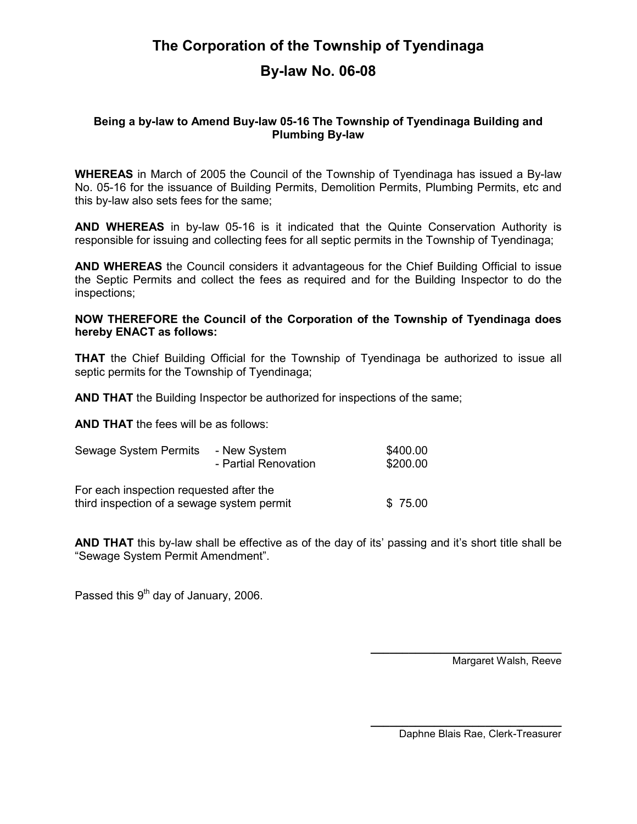## The Corporation of the Township of Tyendinaga By-law No. 06-08

## Being a by-law to Amend Buy-law 05-16 The Township of Tyendinaga Building and Plumbing By-law

WHEREAS in March of 2005 the Council of the Township of Tyendinaga has issued a By-law No. 05-16 for the issuance of Building Permits, Demolition Permits, Plumbing Permits, etc and this by-law also sets fees for the same;

AND WHEREAS in by-law 05-16 is it indicated that the Quinte Conservation Authority is responsible for issuing and collecting fees for all septic permits in the Township of Tyendinaga;

AND WHEREAS the Council considers it advantageous for the Chief Building Official to issue the Septic Permits and collect the fees as required and for the Building Inspector to do the inspections;

## NOW THEREFORE the Council of the Corporation of the Township of Tyendinaga does hereby ENACT as follows:

THAT the Chief Building Official for the Township of Tyendinaga be authorized to issue all septic permits for the Township of Tyendinaga;

AND THAT the Building Inspector be authorized for inspections of the same;

AND THAT the fees will be as follows:

| Sewage System Permits                                                                 | - New System<br>- Partial Renovation | \$400.00<br>\$200.00 |
|---------------------------------------------------------------------------------------|--------------------------------------|----------------------|
| For each inspection requested after the<br>third inspection of a sewage system permit |                                      | \$75.00              |

AND THAT this by-law shall be effective as of the day of its' passing and it's short title shall be "Sewage System Permit Amendment".

 $\mathcal{L}_\text{max}$  and  $\mathcal{L}_\text{max}$  and  $\mathcal{L}_\text{max}$  are the set of  $\mathcal{L}_\text{max}$ 

Passed this  $9<sup>th</sup>$  day of January, 2006.

Margaret Walsh, Reeve

Daphne Blais Rae, Clerk-Treasurer

\_\_\_\_\_\_\_\_\_\_\_\_\_\_\_\_\_\_\_\_\_\_\_\_\_\_\_\_\_\_